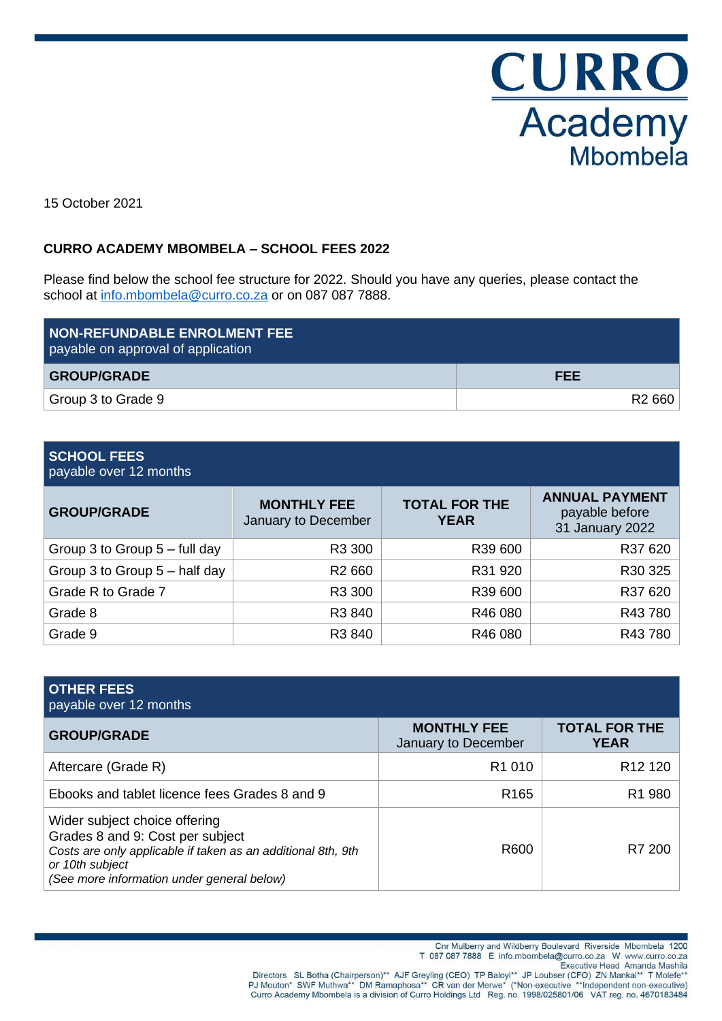**CURRO**<br>Academy Mbombela

15 October 2021

## **CURRO ACADEMY MBOMBELA – SCHOOL FEES 2022**

Please find below the school fee structure for 2022. Should you have any queries, please contact the school at [info.mbombela@curro.co.za](mailto:info.mbombela@curro.co.za) or on 087 087 7888.

| <b>NON-REFUNDABLE ENROLMENT FEE</b><br>payable on approval of application |                    |
|---------------------------------------------------------------------------|--------------------|
| <b>GROUP/GRADE</b>                                                        | <b>FEE</b>         |
| Group 3 to Grade 9                                                        | R <sub>2</sub> 660 |

# **SCHOOL FEES**

payable over 12 months

| <b>GROUP/GRADE</b>              | <b>MONTHLY FEE</b><br>January to December | <b>TOTAL FOR THE</b><br><b>YEAR</b> | <b>ANNUAL PAYMENT</b><br>payable before<br>31 January 2022 |
|---------------------------------|-------------------------------------------|-------------------------------------|------------------------------------------------------------|
| Group 3 to Group $5 -$ full day | R3 300                                    | R39 600                             | R37 620                                                    |
| Group 3 to Group $5 -$ half day | R <sub>2</sub> 660                        | R31 920                             | R30 325                                                    |
| Grade R to Grade 7              | R3 300                                    | R39 600                             | R37 620                                                    |
| Grade 8                         | R3 840                                    | R46 080                             | R43780                                                     |
| Grade 9                         | R3 840                                    | R46 080                             | R43780                                                     |

| <b>OTHER FEES</b><br>payable over 12 months                                                                                                                                                        |                                           |                                     |
|----------------------------------------------------------------------------------------------------------------------------------------------------------------------------------------------------|-------------------------------------------|-------------------------------------|
| <b>GROUP/GRADE</b>                                                                                                                                                                                 | <b>MONTHLY FEE</b><br>January to December | <b>TOTAL FOR THE</b><br><b>YEAR</b> |
| Aftercare (Grade R)                                                                                                                                                                                | R <sub>1</sub> 010                        | R <sub>12</sub> 120                 |
| Ebooks and tablet licence fees Grades 8 and 9                                                                                                                                                      | R <sub>165</sub>                          | R <sub>1</sub> 980                  |
| Wider subject choice offering<br>Grades 8 and 9: Cost per subject<br>Costs are only applicable if taken as an additional 8th, 9th<br>or 10th subject<br>(See more information under general below) | R600                                      | R7 200                              |

Cnr Mulberry and Wildberry Boulevard Riverside Mbombela 1200

T 087 087 7888 E info.mbombela@curro.co.za W www.curro.co.za

Executive Head Amanda Mashila Directors SL Botha (Chairperson)\*\* AJF Greyling (CEO) TP Baloyi\*\* JP Loubser (CFO) ZN Mankai\*\* T Molefe\*\*<br>PJ Mouton\* SWF Muthwa\*\* DM Ramaphosa\*\* CR van der Merwe\* (\*Non-executive \*\*Independent non-executive)<br>Curro Academy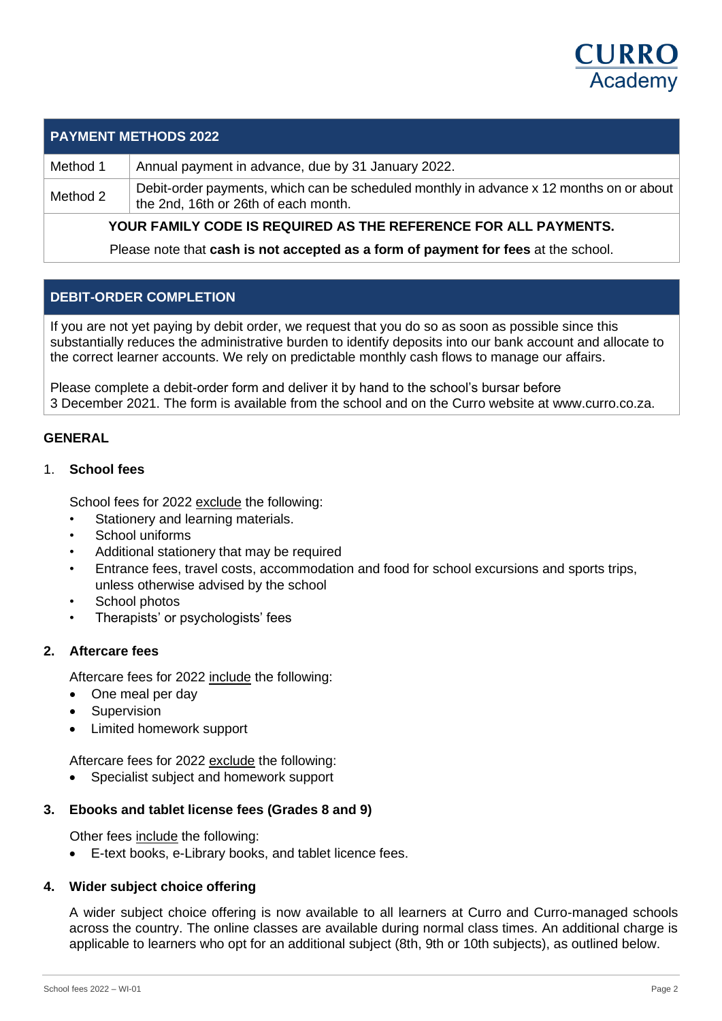

## **PAYMENT METHODS 2022**

Method 1 Annual payment in advance, due by 31 January 2022.

Method 2 Debit-order payments, which can be scheduled monthly in advance x 12 months on or about the 2nd, 16th or 26th of each month.

**YOUR FAMILY CODE IS REQUIRED AS THE REFERENCE FOR ALL PAYMENTS.**

Please note that **cash is not accepted as a form of payment for fees** at the school.

## **DEBIT-ORDER COMPLETION**

If you are not yet paying by debit order, we request that you do so as soon as possible since this substantially reduces the administrative burden to identify deposits into our bank account and allocate to the correct learner accounts. We rely on predictable monthly cash flows to manage our affairs.

Please complete a debit-order form and deliver it by hand to the school's bursar before 3 December 2021. The form is available from the school and on the Curro website at www.curro.co.za.

#### **GENERAL**

#### 1. **School fees**

School fees for 2022 exclude the following:

- Stationery and learning materials.
- School uniforms
- Additional stationery that may be required
- Entrance fees, travel costs, accommodation and food for school excursions and sports trips, unless otherwise advised by the school
- School photos
- Therapists' or psychologists' fees

### **2. Aftercare fees**

Aftercare fees for 2022 include the following:

- One meal per day
- **Supervision**
- Limited homework support

Aftercare fees for 2022 exclude the following:

• Specialist subject and homework support

### **3. Ebooks and tablet license fees (Grades 8 and 9)**

Other fees include the following:

• E-text books, e-Library books, and tablet licence fees.

### **4. Wider subject choice offering**

A wider subject choice offering is now available to all learners at Curro and Curro-managed schools across the country. The online classes are available during normal class times. An additional charge is applicable to learners who opt for an additional subject (8th, 9th or 10th subjects), as outlined below.